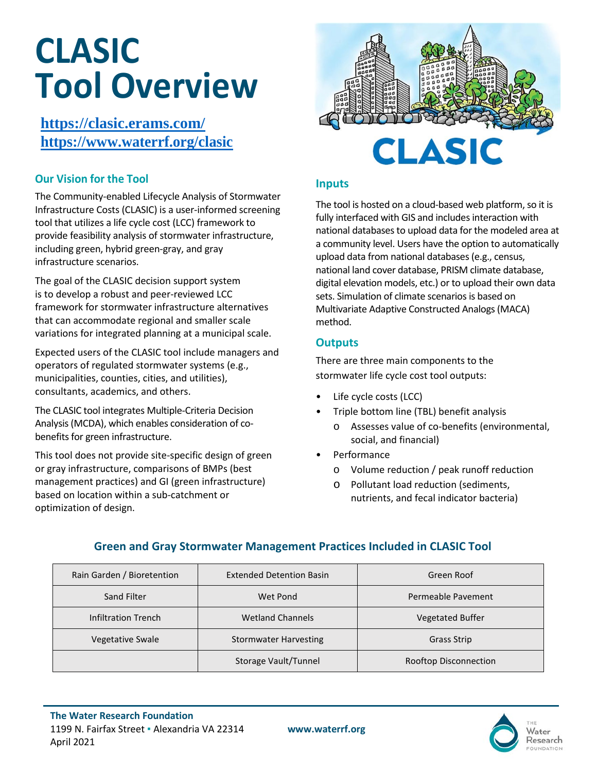# **CLASIC Tool Overview**

**<https://clasic.erams.com/> <https://www.waterrf.org/clasic>** 

### **Our Vision for the Tool**

The Community-enabled Lifecycle Analysis of Stormwater Infrastructure Costs (CLASIC) is a user-informed screening tool that utilizes a life cycle cost (LCC) framework to provide feasibility analysis of stormwater infrastructure, including green, hybrid green-gray, and gray infrastructure scenarios.

The goal of the CLASIC decision support system is to develop a robust and peer-reviewed LCC framework for stormwater infrastructure alternatives that can accommodate regional and smaller scale variations for integrated planning at a municipal scale.

Expected users of the CLASIC tool include managers and operators of regulated stormwater systems (e.g., municipalities, counties, cities, and utilities), consultants, academics, and others.

The CLASIC tool integrates Multiple-Criteria Decision Analysis (MCDA), which enables consideration of cobenefits for green infrastructure.

This tool does not provide site-specific design of green or gray infrastructure, comparisons of BMPs (best management practices) and GI (green infrastructure) based on location within a sub-catchment or optimization of design.



#### **Inputs**

The tool is hosted on a cloud-based web platform, so it is fully interfaced with GIS and includes interaction with national databases to upload data for the modeled area at a community level. Users have the option to automatically upload data from national databases (e.g., census, national land cover database, PRISM climate database, digital elevation models, etc.) or to upload their own data sets. Simulation of climate scenarios is based on Multivariate Adaptive Constructed Analogs (MACA) method.

#### **Outputs**

There are three main components to the stormwater life cycle cost tool outputs:

- Life cycle costs (LCC)
- Triple bottom line (TBL) benefit analysis
	- o Assesses value of co-benefits (environmental, social, and financial)
- Performance
	- o Volume reduction / peak runoff reduction
	- o Pollutant load reduction (sediments, nutrients, and fecal indicator bacteria)

## **Green and Gray Stormwater Management Practices Included in CLASIC Tool**

| Rain Garden / Bioretention | <b>Extended Detention Basin</b> | Green Roof              |
|----------------------------|---------------------------------|-------------------------|
| Sand Filter                | Wet Pond                        | Permeable Pavement      |
| Infiltration Trench        | <b>Wetland Channels</b>         | <b>Vegetated Buffer</b> |
| Vegetative Swale           | <b>Stormwater Harvesting</b>    | Grass Strip             |
|                            | Storage Vault/Tunnel            | Rooftop Disconnection   |